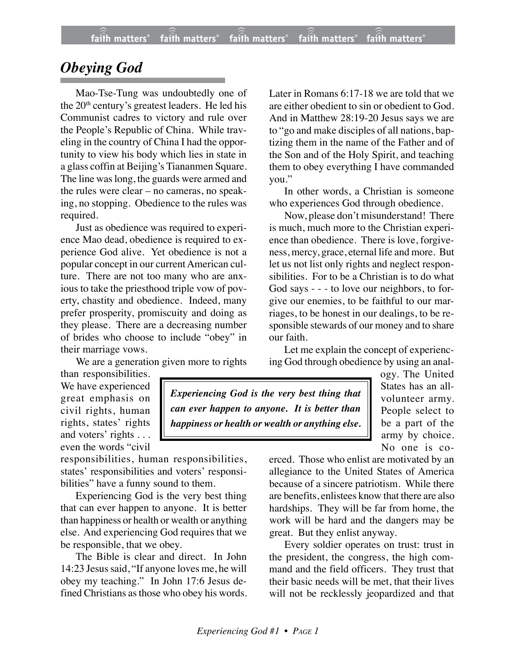## *Obeying God*

Mao-Tse-Tung was undoubtedly one of the 20<sup>th</sup> century's greatest leaders. He led his Communist cadres to victory and rule over the People's Republic of China. While traveling in the country of China I had the opportunity to view his body which lies in state in a glass coffin at Beijing's Tiananmen Square. The line was long, the guards were armed and the rules were clear – no cameras, no speaking, no stopping. Obedience to the rules was required.

Just as obedience was required to experience Mao dead, obedience is required to experience God alive. Yet obedience is not a popular concept in our current American culture. There are not too many who are anxious to take the priesthood triple vow of poverty, chastity and obedience. Indeed, many prefer prosperity, promiscuity and doing as they please. There are a decreasing number of brides who choose to include "obey" in their marriage vows.

We are a generation given more to rights

Later in Romans 6:17-18 we are told that we are either obedient to sin or obedient to God. And in Matthew 28:19-20 Jesus says we are to "go and make disciples of all nations, baptizing them in the name of the Father and of the Son and of the Holy Spirit, and teaching them to obey everything I have commanded you."

In other words, a Christian is someone who experiences God through obedience.

Now, please don't misunderstand! There is much, much more to the Christian experience than obedience. There is love, forgiveness, mercy, grace, eternal life and more. But let us not list only rights and neglect responsibilities. For to be a Christian is to do what God says - - - to love our neighbors, to forgive our enemies, to be faithful to our marriages, to be honest in our dealings, to be responsible stewards of our money and to share our faith.

Let me explain the concept of experiencing God through obedience by using an anal-

than responsibilities. We have experienced great emphasis on civil rights, human rights, states' rights and voters' rights . . . even the words "civil

responsibilities, human responsibilities, states' responsibilities and voters' responsibilities" have a funny sound to them.

Experiencing God is the very best thing that can ever happen to anyone. It is better than happiness or health or wealth or anything else. And experiencing God requires that we be responsible, that we obey.

The Bible is clear and direct. In John 14:23 Jesus said, "If anyone loves me, he will obey my teaching." In John 17:6 Jesus defined Christians as those who obey his words.

*Experiencing God is the very best thing that can ever happen to anyone. It is better than happiness or health or wealth or anything else.*

ogy. The United States has an allvolunteer army. People select to be a part of the army by choice. No one is co-

erced. Those who enlist are motivated by an allegiance to the United States of America because of a sincere patriotism. While there are benefits, enlistees know that there are also hardships. They will be far from home, the work will be hard and the dangers may be great. But they enlist anyway.

Every soldier operates on trust: trust in the president, the congress, the high command and the field officers. They trust that their basic needs will be met, that their lives will not be recklessly jeopardized and that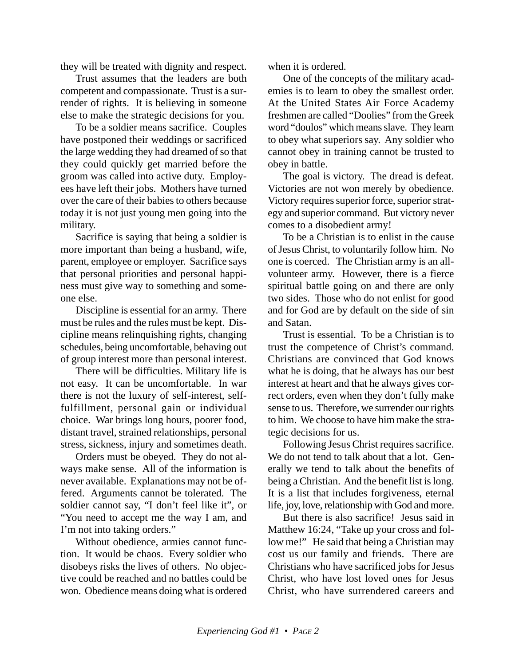they will be treated with dignity and respect.

Trust assumes that the leaders are both competent and compassionate. Trust is a surrender of rights. It is believing in someone else to make the strategic decisions for you.

To be a soldier means sacrifice. Couples have postponed their weddings or sacrificed the large wedding they had dreamed of so that they could quickly get married before the groom was called into active duty. Employees have left their jobs. Mothers have turned over the care of their babies to others because today it is not just young men going into the military.

Sacrifice is saying that being a soldier is more important than being a husband, wife, parent, employee or employer. Sacrifice says that personal priorities and personal happiness must give way to something and someone else.

Discipline is essential for an army. There must be rules and the rules must be kept. Discipline means relinquishing rights, changing schedules, being uncomfortable, behaving out of group interest more than personal interest.

There will be difficulties. Military life is not easy. It can be uncomfortable. In war there is not the luxury of self-interest, selffulfillment, personal gain or individual choice. War brings long hours, poorer food, distant travel, strained relationships, personal stress, sickness, injury and sometimes death.

Orders must be obeyed. They do not always make sense. All of the information is never available. Explanations may not be offered. Arguments cannot be tolerated. The soldier cannot say, "I don't feel like it", or "You need to accept me the way I am, and I'm not into taking orders."

Without obedience, armies cannot function. It would be chaos. Every soldier who disobeys risks the lives of others. No objective could be reached and no battles could be won. Obedience means doing what is ordered when it is ordered.

One of the concepts of the military academies is to learn to obey the smallest order. At the United States Air Force Academy freshmen are called "Doolies" from the Greek word "doulos" which means slave. They learn to obey what superiors say. Any soldier who cannot obey in training cannot be trusted to obey in battle.

The goal is victory. The dread is defeat. Victories are not won merely by obedience. Victory requires superior force, superior strategy and superior command. But victory never comes to a disobedient army!

To be a Christian is to enlist in the cause of Jesus Christ, to voluntarily follow him. No one is coerced. The Christian army is an allvolunteer army. However, there is a fierce spiritual battle going on and there are only two sides. Those who do not enlist for good and for God are by default on the side of sin and Satan.

Trust is essential. To be a Christian is to trust the competence of Christ's command. Christians are convinced that God knows what he is doing, that he always has our best interest at heart and that he always gives correct orders, even when they don't fully make sense to us. Therefore, we surrender our rights to him. We choose to have him make the strategic decisions for us.

Following Jesus Christ requires sacrifice. We do not tend to talk about that a lot. Generally we tend to talk about the benefits of being a Christian. And the benefit list is long. It is a list that includes forgiveness, eternal life, joy, love, relationship with God and more.

But there is also sacrifice! Jesus said in Matthew 16:24, "Take up your cross and follow me!" He said that being a Christian may cost us our family and friends. There are Christians who have sacrificed jobs for Jesus Christ, who have lost loved ones for Jesus Christ, who have surrendered careers and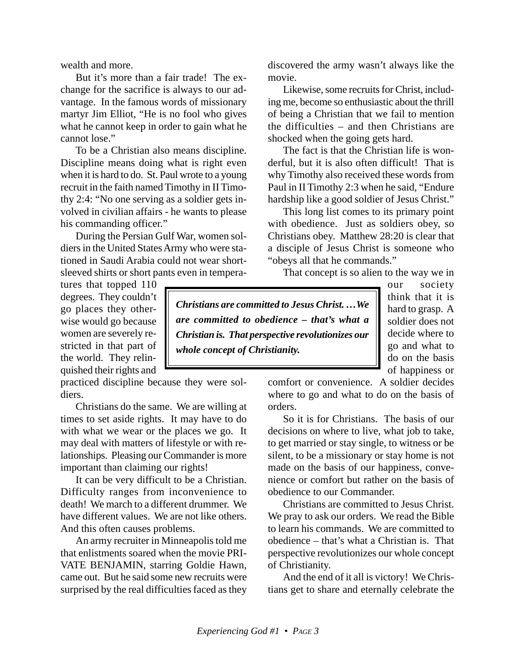wealth and more.

But it's more than a fair trade! The exchange for the sacrifice is always to our advantage. In the famous words of missionary martyr Jim Elliot, "He is no fool who gives what he cannot keep in order to gain what he cannot lose."

To be a Christian also means discipline. Discipline means doing what is right even when it is hard to do. St. Paul wrote to a young recruit in the faith named Timothy in II Timothy 2:4: "No one serving as a soldier gets involved in civilian affairs - he wants to please his commanding officer."

During the Persian Gulf War, women soldiers in the United States Army who were stationed in Saudi Arabia could not wear shortsleeved shirts or short pants even in temperadiscovered the army wasn't always like the movie.

Likewise, some recruits for Christ, including me, become so enthusiastic about the thrill of being a Christian that we fail to mention the difficulties – and then Christians are shocked when the going gets hard.

The fact is that the Christian life is wonderful, but it is also often difficult! That is why Timothy also received these words from Paul in II Timothy 2:3 when he said, "Endure hardship like a good soldier of Jesus Christ."

This long list comes to its primary point with obedience. Just as soldiers obey, so Christians obey. Matthew 28:20 is clear that a disciple of Jesus Christ is someone who "obeys all that he commands."

That concept is so alien to the way we in

tures that topped 110 degrees. They couldn't go places they otherwise would go because women are severely restricted in that part of the world. They relinquished their rights and

practiced discipline because they were soldiers.

Christians do the same. We are willing at times to set aside rights. It may have to do with what we wear or the places we go. It may deal with matters of lifestyle or with relationships. Pleasing our Commander is more important than claiming our rights!

It can be very difficult to be a Christian. Difficulty ranges from inconvenience to death! We march to a different drummer. We have different values. We are not like others. And this often causes problems.

An army recruiter in Minneapolis told me that enlistments soared when the movie PRI-VATE BENJAMIN, starring Goldie Hawn, came out. But he said some new recruits were surprised by the real difficulties faced as they

*Christians are committed to Jesus Christ. …We are committed to obedience – that's what a Christian is. That perspective revolutionizes our whole concept of Christianity.*

our society think that it is hard to grasp. A soldier does not decide where to go and what to do on the basis of happiness or

comfort or convenience. A soldier decides where to go and what to do on the basis of orders.

So it is for Christians. The basis of our decisions on where to live, what job to take, to get married or stay single, to witness or be silent, to be a missionary or stay home is not made on the basis of our happiness, convenience or comfort but rather on the basis of obedience to our Commander.

Christians are committed to Jesus Christ. We pray to ask our orders. We read the Bible to learn his commands. We are committed to obedience – that's what a Christian is. That perspective revolutionizes our whole concept of Christianity.

And the end of it all is victory! We Christians get to share and eternally celebrate the